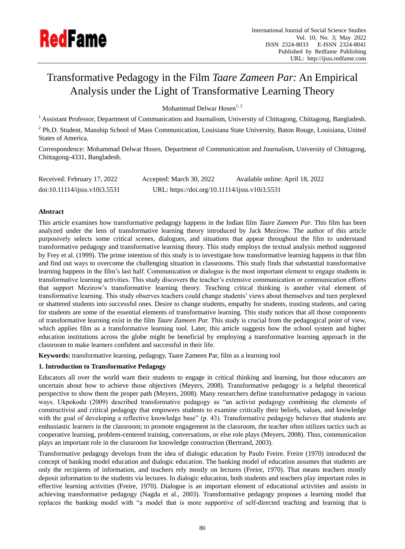

# Transformative Pedagogy in the Film *Taare Zameen Par:* An Empirical Analysis under the Light of Transformative Learning Theory

Mohammad Delwar Hosen<sup>1, 2</sup>

<sup>1</sup> Assistant Professor, Department of Communication and Journalism, University of Chittagong, Chittagong, Bangladesh.

<sup>2</sup> Ph.D. Student, Manship School of Mass Communication, Louisiana State University, Baton Rouge, Louisiana, United States of America.

Correspondence: Mohammad Delwar Hosen, Department of Communication and Journalism, University of Chittagong, Chittagong-4331, Bangladesh.

| Received: February 17, 2022   | Accepted: March 30, 2022                       | Available online: April 18, 2022 |
|-------------------------------|------------------------------------------------|----------------------------------|
| doi:10.11114/j;ss. v10i3.5531 | URL: https://doi.org/10.11114/ijsss.v10i3.5531 |                                  |

# **Abstract**

This article examines how transformative pedagogy happens in the Indian film *Taare Zameen Par*. This film has been analyzed under the lens of transformative learning theory introduced by Jack Mezirow. The author of this article purposively selects some critical scenes, dialogues, and situations that appear throughout the film to understand transformative pedagogy and transformative learning theory. This study employs the textual analysis method suggested by Frey et al. (1999). The prime intention of this study is to investigate how transformative learning happens in that film and find out ways to overcome the challenging situation in classrooms. This study finds that substantial transformative learning happens in the film's last half. Communication or dialogue is the most important element to engage students in transformative learning activities. This study discovers the teacher's extensive communication or communication efforts that support Mezirow's transformative learning theory. Teaching critical thinking is another vital element of transformative learning. This study observes teachers could change students' views about themselves and turn perplexed or shattered students into successful ones. Desire to change students, empathy for students, trusting students, and caring for students are some of the essential elements of transformative learning. This study notices that all those components of transformative learning exist in the film *Taare Zameen Par.* This study is crucial from the pedagogical point of view, which applies film as a transformative learning tool. Later, this article suggests how the school system and higher education institutions across the globe might be beneficial by employing a transformative learning approach in the classroom to make learners confident and successful in their life.

**Keywords:** transformative learning, pedagogy, Taare Zameen Par, film as a learning tool

# **1. Introduction to Transformative Pedagogy**

Educators all over the world want their students to engage in critical thinking and learning, but those educators are uncertain about how to achieve those objectives (Meyers, 2008). Transformative pedagogy is a helpful theoretical perspective to show them the proper path (Meyers, 2008). Many researchers define transformative pedagogy in various ways. Ukpokodu (2009) described transformative pedagogy as "an activist pedagogy combining the elements of constructivist and critical pedagogy that empowers students to examine critically their beliefs, values, and knowledge with the goal of developing a reflective knowledge base" (p. 43). Transformative pedagogy believes that students are enthusiastic learners in the classroom; to promote engagement in the classroom, the teacher often utilizes tactics such as cooperative learning, problem-centered training, conversations, or else role plays (Meyers, 2008). Thus, communication plays an important role in the classroom for knowledge construction (Bertrand, 2003).

Transformative pedagogy develops from the idea of dialogic education by Paulo Freire. Freire (1970) introduced the concept of banking model education and dialogic education. The banking model of education assumes that students are only the recipients of information, and teachers rely mostly on lectures (Freire, 1970). That means teachers mostly deposit information to the students via lectures. In dialogic education, both students and teachers play important roles in effective learning activities (Freire, 1970). Dialogue is an important element of educational activities and assists in achieving transformative pedagogy (Nagda et al., 2003). Transformative pedagogy proposes a learning model that replaces the banking model with "a model that is more supportive of self-directed teaching and learning that is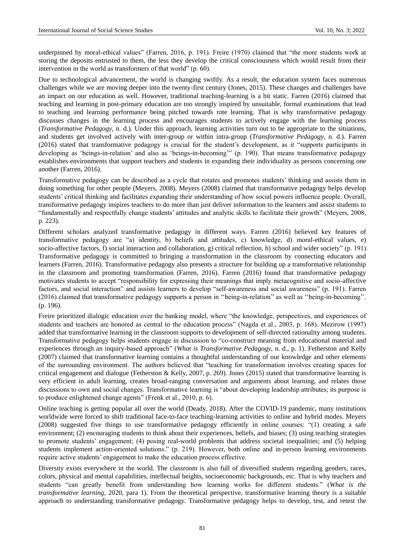underpinned by moral-ethical values" (Farren, 2016, p. 191). Freire (1970) claimed that "the more students work at storing the deposits entrusted to them, the less they develop the critical consciousness which would result from their intervention in the world as transformers of that world"  $(p. 60)$ .

Due to technological advancement, the world is changing swiftly. As a result, the education system faces numerous challenges while we are moving deeper into the twenty-first century (Jones, 2015). These changes and challenges have an impact on our education as well. However, traditional teaching-learning is a bit static. Farren (2016) claimed that teaching and learning in post-primary education are too strongly inspired by unsuitable, formal examinations that lead to teaching and learning performance being pitched towards rote learning. That is why transformative pedagogy discusses changes in the learning process and encourages students to actively engage with the learning process (*Transformative Pedagogy*, n. d.). Under this approach, learning activities turn out to be appropriate to the situations, and students get involved actively with inter-group or within intra-group (*Transformative Pedagogy*, n. d.). Farren (2016) stated that transformative pedagogy is crucial for the student's development, as it "supports participants in developing as 'beings-in-relation' and also as 'beings-in-becoming'" (p. 190). That means transformative pedagogy establishes environments that support teachers and students in expanding their individuality as persons concerning one another (Farren, 2016).

Transformative pedagogy can be described as a cycle that rotates and promotes students' thinking and assists them in doing something for other people (Meyers, 2008). Meyers (2008) claimed that transformative pedagogy helps develop students' critical thinking and facilitates expanding their understanding of how social powers influence people. Overall, transformative pedagogy inspires teachers to do more than just deliver information to the learners and assist students to ―fundamentally and respectfully change students' attitudes and analytic skills to facilitate their growth‖ (Meyers, 2008, p. 223).

Different scholars analyzed transformative pedagogy in different ways. Farren (2016) believed key features of transformative pedagogy are "a) identity, b) beliefs and attitudes, c) knowledge, d) moral-ethical values, e) socio-affective factors, f) social interaction and collaboration, g) critical reflection, h) school and wider society" (p. 191). Transformative pedagogy is committed to bringing a transformation in the classroom by connecting educators and learners (Farren, 2016). Transformative pedagogy also presents a structure for building up a transformative relationship in the classroom and promoting transformation (Farren, 2016). Farren (2016) found that transformative pedagogy motivates students to accept "responsibility for expressing their meanings that imply metacognitive and socio-affective factors, and social interaction" and assists learners to develop "self-awareness and social awareness" (p. 191). Farren (2016) claimed that transformative pedagogy supports a person in "being-in-relation" as well as "being-in-becoming". (p. 196).

Freire prioritized dialogic education over the banking model, where "the knowledge, perspectives, and experiences of students and teachers are honored as central to the education process" (Nagda et al., 2003, p. 168). Mezirow (1997) added that transformative learning in the classroom supports to development of self-directed rationality among students. Transformative pedagogy helps students engage in discussion to "co-construct meaning from educational material and experiences through an inquiry-based approach<sup>"</sup> (*What is Transformative Pedagogy*, n. d., p. 1). Fetherston and Kelly (2007) claimed that transformative learning contains a thoughtful understanding of our knowledge and other elements of the surrounding environment. The authors believed that "teaching for transformation involves creating spaces for critical engagement and dialogue (Fetherston & Kelly, 2007, p. 269). Jones (2015) stated that transformative learning is very efficient in adult learning, creates broad-ranging conversation and arguments about learning, and relates those discussions to own and social changes. Transformative learning is "about developing leadership attributes; its purpose is to produce enlightened change agents" (Frenk et al., 2010, p. 6).

Online teaching is getting popular all over the world (Deady, 2018). After the COVID-19 pandemic, many institutions worldwide were forced to shift traditional face-to-face teaching-learning activities to online and hybrid modes. Meyers (2008) suggested five things to use transformative pedagogy efficiently in online courses: "(1) creating a safe environment; (2) encouraging students to think about their experiences, beliefs, and biases; (3) using teaching strategies to promote students' engagement; (4) posing real-world problems that address societal inequalities; and (5) helping students implement action-oriented solutions." (p. 219). However, both online and in-person learning environments require active students' engagement to make the education process effective.

Diversity exists everywhere in the world. The classroom is also full of diversified students regarding genders, races, colors, physical and mental capabilities, intellectual heights, socioeconomic backgrounds, etc. That is why teachers and students "can greatly benefit from understanding how learning works for different students." (*What is the transformative learning*, 2020, para 1). From the theoretical perspective, transformative learning theory is a suitable approach to understanding transformative pedagogy. Transformative pedagogy helps to develop, test, and retest the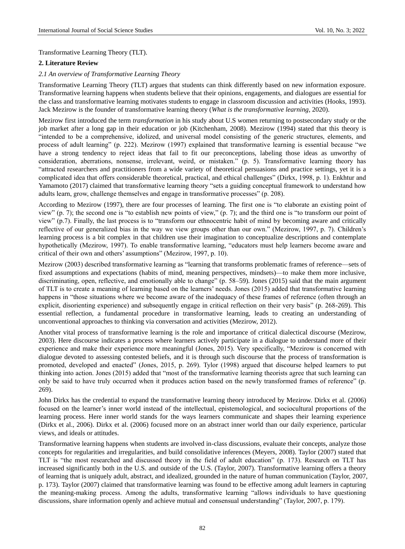Transformative Learning Theory (TLT).

# **2. Literature Review**

## *2.1 An overview of Transformative Learning Theory*

Transformative Learning Theory (TLT) argues that students can think differently based on new information exposure. Transformative learning happens when students believe that their opinions, engagements, and dialogues are essential for the class and transformative learning motivates students to engage in classroom discussion and activities (Hooks, 1993). Jack Mezirow is the founder of transformative learning theory (*What is the transformative learning*, 2020).

Mezirow first introduced the term *transformation* in his study about U.S women returning to postsecondary study or the job market after a long gap in their education or job (Kitchenham, 2008). Mezirow (1994) stated that this theory is ―intended to be a comprehensive, idolized, and universal model consisting of the generic structures, elements, and process of adult learning" (p. 222). Mezirow (1997) explained that transformative learning is essential because "we have a strong tendency to reject ideas that fail to fit our preconceptions, labeling those ideas as unworthy of consideration, aberrations, nonsense, irrelevant, weird, or mistaken." (p. 5). Transformative learning theory has ―attracted researchers and practitioners from a wide variety of theoretical persuasions and practice settings, yet it is a complicated idea that offers considerable theoretical, practical, and ethical challenges" (Dirkx, 1998, p. 1). Enkhtur and Yamamoto (2017) claimed that transformative learning theory "sets a guiding conceptual framework to understand how adults learn, grow, challenge themselves and engage in transformative processes" (p. 208).

According to Mezirow (1997), there are four processes of learning. The first one is "to elaborate an existing point of view" (p. 7); the second one is "to establish new points of view," (p. 7); and the third one is "to transform our point of view" (p.7). Finally, the last process is to "transform our ethnocentric habit of mind by becoming aware and critically reflective of our generalized bias in the way we view groups other than our own." (Mezirow, 1997, p. 7). Children's learning process is a bit complex in that children use their imagination to conceptualize descriptions and contemplate hypothetically (Mezirow, 1997). To enable transformative learning, "educators must help learners become aware and critical of their own and others' assumptions" (Mezirow, 1997, p. 10).

Mezirow (2003) described transformative learning as "learning that transforms problematic frames of reference—sets of fixed assumptions and expectations (habits of mind, meaning perspectives, mindsets)—to make them more inclusive, discriminating, open, reflective, and emotionally able to change" (p. 58–59). Jones (2015) said that the main argument of TLT is to create a meaning of learning based on the learners' needs. Jones (2015) added that transformative learning happens in "those situations where we become aware of the inadequacy of these frames of reference (often through an explicit, disorienting experience) and subsequently engage in critical reflection on their very basis" (p. 268-269). This essential reflection, a fundamental procedure in transformative learning, leads to creating an understanding of unconventional approaches to thinking via conversation and activities (Mezirow, 2012).

Another vital process of transformative learning is the role and importance of critical dialectical discourse (Mezirow, 2003). Here discourse indicates a process where learners actively participate in a dialogue to understand more of their experience and make their experience more meaningful (Jones, 2015). Very specifically, "Mezirow is concerned with dialogue devoted to assessing contested beliefs, and it is through such discourse that the process of transformation is promoted, developed and enacted" (Jones, 2015, p. 269). Tylor (1998) argued that discourse helped learners to put thinking into action. Jones (2015) added that "most of the transformative learning theorists agree that such learning can only be said to have truly occurred when it produces action based on the newly transformed frames of reference" (p. 269).

John Dirkx has the credential to expand the transformative learning theory introduced by Mezirow. Dirkx et al. (2006) focused on the learner's inner world instead of the intellectual, epistemological, and sociocultural proportions of the learning process. Here inner world stands for the ways learners communicate and shapes their learning experience (Dirkx et al., 2006). Dirkx et al. (2006) focused more on an abstract inner world than our daily experience, particular views, and ideals or attitudes.

Transformative learning happens when students are involved in-class discussions, evaluate their concepts, analyze those concepts for regularities and irregularities, and build consolidative inferences (Meyers, 2008). Taylor (2007) stated that TLT is "the most researched and discussed theory in the field of adult education" (p. 173). Research on TLT has increased significantly both in the U.S. and outside of the U.S. (Taylor, 2007). Transformative learning offers a theory of learning that is uniquely adult, abstract, and idealized, grounded in the nature of human communication (Taylor, 2007, p. 173). Taylor (2007) claimed that transformative learning was found to be effective among adult learners in capturing the meaning-making process. Among the adults, transformative learning "allows individuals to have questioning discussions, share information openly and achieve mutual and consensual understanding" (Taylor, 2007, p. 179).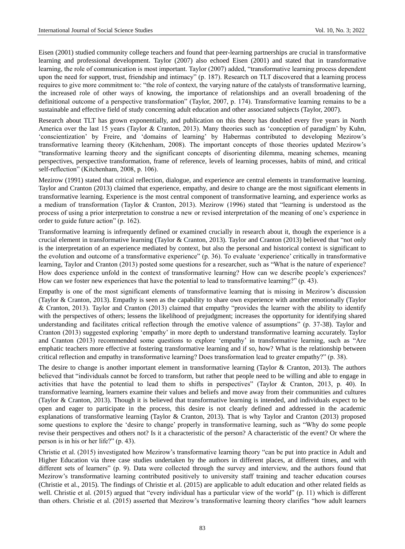Eisen (2001) studied community college teachers and found that peer-learning partnerships are crucial in transformative learning and professional development. Taylor (2007) also echoed Eisen (2001) and stated that in transformative learning, the role of communication is most important. Taylor (2007) added, "transformative learning process dependent upon the need for support, trust, friendship and intimacy" (p. 187). Research on TLT discovered that a learning process requires to give more commitment to: "the role of context, the varying nature of the catalysts of transformative learning, the increased role of other ways of knowing, the importance of relationships and an overall broadening of the definitional outcome of a perspective transformation" (Taylor, 2007, p. 174). Transformative learning remains to be a sustainable and effective field of study concerning adult education and other associated subjects (Taylor, 2007).

Research about TLT has grown exponentially, and publication on this theory has doubled every five years in North America over the last 15 years (Taylor & Cranton, 2013). Many theories such as 'conception of paradigm' by Kuhn, ‗conscientization' by Freire, and ‗domains of learning' by Habermas contributed to developing Mezirow's transformative learning theory (Kitchenham, 2008). The important concepts of those theories updated Mezirow's ―transformative learning theory and the significant concepts of disorienting dilemma, meaning schemes, meaning perspectives, perspective transformation, frame of reference, levels of learning processes, habits of mind, and critical self-reflection" (Kitchenham, 2008, p. 106).

Mezirow (1991) stated that critical reflection, dialogue, and experience are central elements in transformative learning. Taylor and Cranton (2013) claimed that experience, empathy, and desire to change are the most significant elements in transformative learning. Experience is the most central component of transformative learning, and experience works as a medium of transformation (Taylor & Cranton, 2013). Mezirow (1996) stated that "learning is understood as the process of using a prior interpretation to construe a new or revised interpretation of the meaning of one's experience in order to guide future action" (p. 162).

Transformative learning is infrequently defined or examined crucially in research about it, though the experience is a crucial element in transformative learning (Taylor & Cranton, 2013). Taylor and Cranton (2013) believed that "not only is the interpretation of an experience mediated by context, but also the personal and historical context is significant to the evolution and outcome of a transformative experience" (p. 36). To evaluate 'experience' critically in transformative learning, Taylor and Cranton (2013) posted some questions for a researcher, such as "What is the nature of experience? How does experience unfold in the context of transformative learning? How can we describe people's experiences? How can we foster new experiences that have the potential to lead to transformative learning?" (p. 43).

Empathy is one of the most significant elements of transformative learning that is missing in Mezirow's discussion (Taylor & Cranton, 2013). Empathy is seen as the capability to share own experience with another emotionally (Taylor & Cranton, 2013). Taylor and Cranton (2013) claimed that empathy "provides the learner with the ability to identify with the perspectives of others; lessens the likelihood of prejudgment; increases the opportunity for identifying shared understanding and facilitates critical reflection through the emotive valence of assumptions" (p. 37-38). Taylor and Cranton (2013) suggested exploring 'empathy' in more depth to understand transformative learning accurately. Taylor and Cranton (2013) recommended some questions to explore 'empathy' in transformative learning, such as "Are emphatic teachers more effective at fostering transformative learning and if so, how? What is the relationship between critical reflection and empathy in transformative learning? Does transformation lead to greater empathy?" (p. 38).

The desire to change is another important element in transformative learning (Taylor & Cranton, 2013). The authors believed that "individuals cannot be forced to transform, but rather that people need to be willing and able to engage in activities that have the potential to lead them to shifts in perspectives‖ (Taylor & Cranton, 2013, p. 40). In transformative learning, learners examine their values and beliefs and move away from their communities and cultures (Taylor & Cranton, 2013). Though it is believed that transformative learning is intended, and individuals expect to be open and eager to participate in the process, this desire is not clearly defined and addressed in the academic explanations of transformative learning (Taylor & Cranton, 2013). That is why Taylor and Cranton (2013) proposed some questions to explore the 'desire to change' properly in transformative learning, such as "Why do some people revise their perspectives and others not? Is it a characteristic of the person? A characteristic of the event? Or where the person is in his or her life?" (p. 43).

Christie et al. (2015) investigated how Mezirow's transformative learning theory "can be put into practice in Adult and Higher Education via three case studies undertaken by the authors in different places, at different times, and with different sets of learners" (p. 9). Data were collected through the survey and interview, and the authors found that Mezirow's transformative learning contributed positively to university staff training and teacher education courses (Christie et al., 2015). The findings of Christie et al. (2015) are applicable to adult education and other related fields as well. Christie et al. (2015) argued that "every individual has a particular view of the world" (p. 11) which is different than others. Christie et al. (2015) asserted that Mezirow's transformative learning theory clarifies "how adult learners"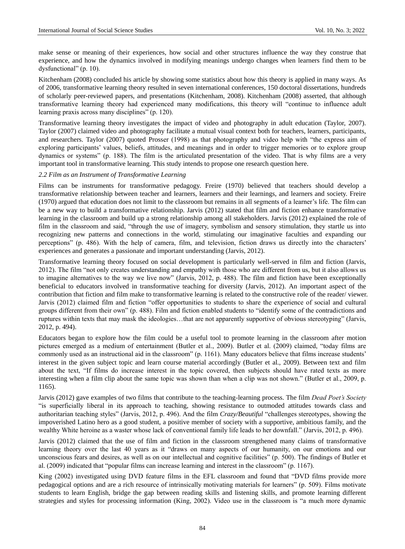make sense or meaning of their experiences, how social and other structures influence the way they construe that experience, and how the dynamics involved in modifying meanings undergo changes when learners find them to be dysfunctional" (p.  $10$ ).

Kitchenham (2008) concluded his article by showing some statistics about how this theory is applied in many ways. As of 2006, transformative learning theory resulted in seven international conferences, 150 doctoral dissertations, hundreds of scholarly peer-reviewed papers, and presentations (Kitchenham, 2008). Kitchenham (2008) asserted, that although transformative learning theory had experienced many modifications, this theory will "continue to influence adult learning praxis across many disciplines" (p. 120).

Transformative learning theory investigates the impact of video and photography in adult education (Taylor, 2007). Taylor (2007) claimed video and photography facilitate a mutual visual context both for teachers, learners, participants, and researchers. Taylor (2007) quoted Prosser (1998) as that photography and video help with "the express aim of exploring participants' values, beliefs, attitudes, and meanings and in order to trigger memories or to explore group dynamics or systems" (p. 188). The film is the articulated presentation of the video. That is why films are a very important tool in transformative learning. This study intends to propose one research question here.

# *2.2 Film as an Instrument of Transformative Learning*

Films can be instruments for transformative pedagogy. Freire (1970) believed that teachers should develop a transformative relationship between teacher and learners, learners and their learnings, and learners and society. Freire (1970) argued that education does not limit to the classroom but remains in all segments of a learner's life. The film can be a new way to build a transformative relationship. Jarvis (2012) stated that film and fiction enhance transformative learning in the classroom and build up a strong relationship among all stakeholders. Jarvis (2012) explained the role of film in the classroom and said, "through the use of imagery, symbolism and sensory stimulation, they startle us into recognizing new patterns and connections in the world, stimulating our imaginative faculties and expanding our perceptions‖ (p. 486). With the help of camera, film, and television, fiction draws us directly into the characters' experiences and generates a passionate and important understanding (Jarvis, 2012).

Transformative learning theory focused on social development is particularly well-served in film and fiction (Jarvis, 2012). The film "not only creates understanding and empathy with those who are different from us, but it also allows us to imagine alternatives to the way we live now" (Jarvis, 2012, p. 488). The film and fiction have been exceptionally beneficial to educators involved in transformative teaching for diversity (Jarvis, 2012). An important aspect of the contribution that fiction and film make to transformative learning is related to the constructive role of the reader/ viewer. Jarvis (2012) claimed film and fiction "offer opportunities to students to share the experience of social and cultural groups different from their own" (p. 488). Film and fiction enabled students to "identify some of the contradictions and ruptures within texts that may mask the ideologies...that are not apparently supportive of obvious stereotyping" (Jarvis, 2012, p. 494).

Educators began to explore how the film could be a useful tool to promote learning in the classroom after motion pictures emerged as a medium of entertainment (Butler et al., 2009). Butler et al. (2009) claimed, "today films are commonly used as an instructional aid in the classroom" (p. 1161). Many educators believe that films increase students' interest in the given subject topic and learn course material accordingly (Butler et al., 2009). Between text and film about the text, "If films do increase interest in the topic covered, then subjects should have rated texts as more interesting when a film clip about the same topic was shown than when a clip was not shown." (Butler et al., 2009, p. 1165).

Jarvis (2012) gave examples of two films that contribute to the teaching-learning process. The film *Dead Poet's Society* ―is superficially liberal in its approach to teaching, showing resistance to outmoded attitudes towards class and authoritarian teaching styles" (Jarvis, 2012, p. 496). And the film *Crazy/Beautiful* "challenges stereotypes, showing the impoverished Latino hero as a good student, a positive member of society with a supportive, ambitious family, and the wealthy White heroine as a waster whose lack of conventional family life leads to her downfall." (Jarvis, 2012, p. 496).

Jarvis (2012) claimed that the use of film and fiction in the classroom strengthened many claims of transformative learning theory over the last 40 years as it "draws on many aspects of our humanity, on our emotions and our unconscious fears and desires, as well as on our intellectual and cognitive facilities" (p. 500). The findings of Butler et al. (2009) indicated that "popular films can increase learning and interest in the classroom" (p. 1167).

King (2002) investigated using DVD feature films in the EFL classroom and found that "DVD films provide more pedagogical options and are a rich resource of intrinsically motivating materials for learners" (p. 509). Films motivate students to learn English, bridge the gap between reading skills and listening skills, and promote learning different strategies and styles for processing information (King, 2002). Video use in the classroom is "a much more dynamic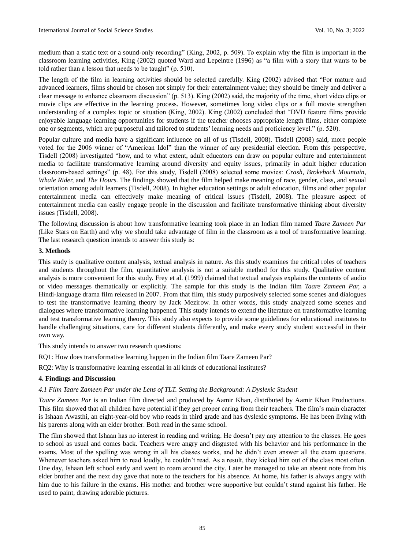medium than a static text or a sound-only recording" (King, 2002, p. 509). To explain why the film is important in the classroom learning activities, King (2002) quoted Ward and Lepeintre (1996) as "a film with a story that wants to be told rather than a lesson that needs to be taught"  $(p. 510)$ .

The length of the film in learning activities should be selected carefully. King (2002) advised that "For mature and advanced learners, films should be chosen not simply for their entertainment value; they should be timely and deliver a clear message to enhance classroom discussion" (p. 513). King (2002) said, the majority of the time, short video clips or movie clips are effective in the learning process. However, sometimes long video clips or a full movie strengthen understanding of a complex topic or situation (King, 2002). King (2002) concluded that "DVD feature films provide enjoyable language learning opportunities for students if the teacher chooses appropriate length films, either complete one or segments, which are purposeful and tailored to students' learning needs and proficiency level." (p. 520).

Popular culture and media have a significant influence on all of us (Tisdell, 2008). Tisdell (2008) said, more people voted for the 2006 winner of "American Idol" than the winner of any presidential election. From this perspective, Tisdell (2008) investigated "how, and to what extent, adult educators can draw on popular culture and entertainment media to facilitate transformative learning around diversity and equity issues, primarily in adult higher education classroom-based settings" (p. 48). For this study, Tisdell (2008) selected some movies: *Crash, Brokeback Mountain, Whale Rider,* and *The Hours.* The findings showed that the film helped make meaning of race, gender, class, and sexual orientation among adult learners (Tisdell, 2008). In higher education settings or adult education, films and other popular entertainment media can effectively make meaning of critical issues (Tisdell, 2008). The pleasure aspect of entertainment media can easily engage people in the discussion and facilitate transformative thinking about diversity issues (Tisdell, 2008).

The following discussion is about how transformative learning took place in an Indian film named *Taare Zameen Par* (Like Stars on Earth) and why we should take advantage of film in the classroom as a tool of transformative learning. The last research question intends to answer this study is:

## **3. Methods**

This study is qualitative content analysis, textual analysis in nature. As this study examines the critical roles of teachers and students throughout the film, quantitative analysis is not a suitable method for this study. Qualitative content analysis is more convenient for this study. Frey et al. (1999) claimed that textual analysis explains the contents of audio or video messages thematically or explicitly. The sample for this study is the Indian film *Taare Zameen Par,* a Hindi-language drama film released in 2007*.* From that film, this study purposively selected some scenes and dialogues to test the transformative learning theory by Jack Mezirow. In other words, this study analyzed some scenes and dialogues where transformative learning happened. This study intends to extend the literature on transformative learning and test transformative learning theory. This study also expects to provide some guidelines for educational institutes to handle challenging situations, care for different students differently, and make every study student successful in their own way.

This study intends to answer two research questions:

RQ1: How does transformative learning happen in the Indian film Taare Zameen Par?

RQ2: Why is transformative learning essential in all kinds of educational institutes?

# **4. Findings and Discussion**

## *4.1 Film Taare Zameen Par under the Lens of TLT. Setting the Background: A Dyslexic Student*

*Taare Zameen Par* is an Indian film directed and produced by Aamir Khan, distributed by Aamir Khan Productions. This film showed that all children have potential if they get proper caring from their teachers. The film's main character is Ishaan Awasthi, an eight-year-old boy who reads in third grade and has dyslexic symptoms. He has been living with his parents along with an elder brother. Both read in the same school.

The film showed that Ishaan has no interest in reading and writing. He doesn't pay any attention to the classes. He goes to school as usual and comes back. Teachers were angry and disgusted with his behavior and his performance in the exams. Most of the spelling was wrong in all his classes works, and he didn't even answer all the exam questions. Whenever teachers asked him to read loudly, he couldn't read. As a result, they kicked him out of the class most often. One day, Ishaan left school early and went to roam around the city. Later he managed to take an absent note from his elder brother and the next day gave that note to the teachers for his absence. At home, his father is always angry with him due to his failure in the exams. His mother and brother were supportive but couldn't stand against his father. He used to paint, drawing adorable pictures.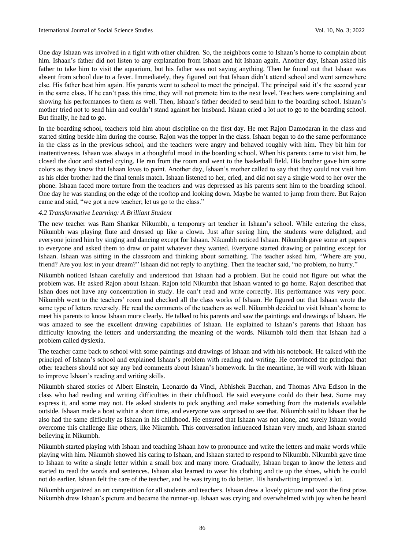One day Ishaan was involved in a fight with other children. So, the neighbors come to Ishaan's home to complain about him. Ishaan's father did not listen to any explanation from Ishaan and hit Ishaan again. Another day, Ishaan asked his father to take him to visit the aquarium, but his father was not saying anything. Then he found out that Ishaan was absent from school due to a fever. Immediately, they figured out that Ishaan didn't attend school and went somewhere else. His father beat him again. His parents went to school to meet the principal. The principal said it's the second year in the same class. If he can't pass this time, they will not promote him to the next level. Teachers were complaining and showing his performances to them as well. Then, Ishaan's father decided to send him to the boarding school. Ishaan's mother tried not to send him and couldn't stand against her husband. Ishaan cried a lot not to go to the boarding school. But finally, he had to go.

In the boarding school, teachers told him about discipline on the first day. He met Rajon Damodaran in the class and started sitting beside him during the course. Rajon was the topper in the class. Ishaan began to do the same performance in the class as in the previous school, and the teachers were angry and behaved roughly with him. They bit him for inattentiveness. Ishaan was always in a thoughtful mood in the boarding school. When his parents came to visit him, he closed the door and started crying. He ran from the room and went to the basketball field. His brother gave him some colors as they know that Ishaan loves to paint. Another day, Ishaan's mother called to say that they could not visit him as his elder brother had the final tennis match. Ishaan listened to her, cried, and did not say a single word to her over the phone. Ishaan faced more torture from the teachers and was depressed as his parents sent him to the boarding school. One day he was standing on the edge of the rooftop and looking down. Maybe he wanted to jump from there. But Rajon came and said, "we got a new teacher; let us go to the class."

## *4.2 Transformative Learning: A Brilliant Student*

The new teacher was Ram Shankar Nikumbh, a temporary art teacher in Ishaan's school. While entering the class, Nikumbh was playing flute and dressed up like a clown. Just after seeing him, the students were delighted, and everyone joined him by singing and dancing except for Ishaan. Nikumbh noticed Ishaan. Nikumbh gave some art papers to everyone and asked them to draw or paint whatever they wanted. Everyone started drawing or painting except for Ishaan. Ishaan was sitting in the classroom and thinking about something. The teacher asked him, "Where are you, friend? Are you lost in your dream?" Ishaan did not reply to anything. Then the teacher said, "no problem, no hurry."

Nikumbh noticed Ishaan carefully and understood that Ishaan had a problem. But he could not figure out what the problem was. He asked Rajon about Ishaan. Rajon told Nikumbh that Ishaan wanted to go home. Rajon described that Ishan does not have any concentration in study. He can't read and write correctly. His performance was very poor. Nikumbh went to the teachers' room and checked all the class works of Ishaan. He figured out that Ishaan wrote the same type of letters reversely. He read the comments of the teachers as well. Nikumbh decided to visit Ishaan's home to meet his parents to know Ishaan more clearly. He talked to his parents and saw the paintings and drawings of Ishaan. He was amazed to see the excellent drawing capabilities of Ishaan. He explained to Ishaan's parents that Ishaan has difficulty knowing the letters and understanding the meaning of the words. Nikumbh told them that Ishaan had a problem called dyslexia.

The teacher came back to school with some paintings and drawings of Ishaan and with his notebook. He talked with the principal of Ishaan's school and explained Ishaan's problem with reading and writing. He convinced the principal that other teachers should not say any bad comments about Ishaan's homework. In the meantime, he will work with Ishaan to improve Ishaan's reading and writing skills.

Nikumbh shared stories of Albert Einstein, Leonardo da Vinci, Abhishek Bacchan, and Thomas Alva Edison in the class who had reading and writing difficulties in their childhood. He said everyone could do their best. Some may express it, and some may not. He asked students to pick anything and make something from the materials available outside. Ishaan made a boat within a short time, and everyone was surprised to see that. Nikumbh said to Ishaan that he also had the same difficulty as Ishaan in his childhood. He ensured that Ishaan was not alone, and surely Ishaan would overcome this challenge like others, like Nikumbh. This conversation influenced Ishaan very much, and Ishaan started believing in Nikumbh.

Nikumbh started playing with Ishaan and teaching Ishaan how to pronounce and write the letters and make words while playing with him. Nikumbh showed his caring to Ishaan, and Ishaan started to respond to Nikumbh. Nikumbh gave time to Ishaan to write a single letter within a small box and many more. Gradually, Ishaan began to know the letters and started to read the words and sentences. Ishaan also learned to wear his clothing and tie up the shoes, which he could not do earlier. Ishaan felt the care of the teacher, and he was trying to do better. His handwriting improved a lot.

Nikumbh organized an art competition for all students and teachers. Ishaan drew a lovely picture and won the first prize. Nikumbh drew Ishaan's picture and became the runner-up. Ishaan was crying and overwhelmed with joy when he heard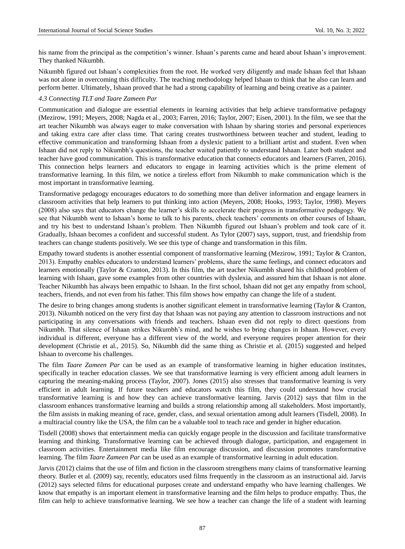his name from the principal as the competition's winner. Ishaan's parents came and heard about Ishaan's improvement. They thanked Nikumbh.

Nikumbh figured out Ishaan's complexities from the root. He worked very diligently and made Ishaan feel that Ishaan was not alone in overcoming this difficulty. The teaching methodology helped Ishaan to think that he also can learn and perform better. Ultimately, Ishaan proved that he had a strong capability of learning and being creative as a painter.

#### *4.3 Connecting TLT and Taare Zameen Par*

Communication and dialogue are essential elements in learning activities that help achieve transformative pedagogy (Mezirow, 1991; Meyers, 2008; Nagda et al., 2003; Farren, 2016; Taylor, 2007; Eisen, 2001). In the film, we see that the art teacher Nikumbh was always eager to make conversation with Ishaan by sharing stories and personal experiences and taking extra care after class time. That caring creates trustworthiness between teacher and student, leading to effective communication and transforming Ishaan from a dyslexic patient to a brilliant artist and student. Even when Ishaan did not reply to Nikumbh's questions, the teacher waited patiently to understand Ishaan. Later both student and teacher have good communication. This is transformative education that connects educators and learners (Farren, 2016). This connection helps learners and educators to engage in learning activities which is the prime element of transformative learning. In this film, we notice a tireless effort from Nikumbh to make communication which is the most important in transformative learning.

Transformative pedagogy encourages educators to do something more than deliver information and engage learners in classroom activities that help learners to put thinking into action (Meyers, 2008; Hooks, 1993; Taylor, 1998). Meyers (2008) also says that educators change the learner's skills to accelerate their progress in transformative pedagogy. We see that Nikumbh went to Ishaan's home to talk to his parents, check teachers' comments on other courses of Ishaan, and try his best to understand Ishaan's problem. Then Nikumbh figured out Ishaan's problem and took care of it. Gradually, Ishaan becomes a confident and successful student. As Tylor (2007) says, support, trust, and friendship from teachers can change students positively. We see this type of change and transformation in this film.

Empathy toward students is another essential component of transformative learning (Mezirow, 1991; Taylor & Cranton, 2013). Empathy enables educators to understand learners' problems, share the same feelings, and connect educators and learners emotionally (Taylor & Cranton, 2013). In this film, the art teacher Nikumbh shared his childhood problem of learning with Ishaan, gave some examples from other countries with dyslexia, and assured him that Ishaan is not alone. Teacher Nikumbh has always been empathic to Ishaan. In the first school, Ishaan did not get any empathy from school, teachers, friends, and not even from his father. This film shows how empathy can change the life of a student.

The desire to bring changes among students is another significant element in transformative learning (Taylor & Cranton, 2013). Nikumbh noticed on the very first day that Ishaan was not paying any attention to classroom instructions and not participating in any conversations with friends and teachers. Ishaan even did not reply to direct questions from Nikumbh. That silence of Ishaan strikes Nikumbh's mind, and he wishes to bring changes in Ishaan. However, every individual is different, everyone has a different view of the world, and everyone requires proper attention for their development (Christie et al., 2015). So, Nikumbh did the same thing as Christie et al. (2015) suggested and helped Ishaan to overcome his challenges.

The film *Taare Zameen Par* can be used as an example of transformative learning in higher education institutes, specifically in teacher education classes. We see that transformative learning is very efficient among adult learners in capturing the meaning-making process (Taylor, 2007). Jones (2015) also stresses that transformative learning is very efficient in adult learning. If future teachers and educators watch this film, they could understand how crucial transformative learning is and how they can achieve transformative learning. Jarvis (2012) says that film in the classroom enhances transformative learning and builds a strong relationship among all stakeholders. Most importantly, the film assists in making meaning of race, gender, class, and sexual orientation among adult learners (Tisdell, 2008). In a multiracial country like the USA, the film can be a valuable tool to teach race and gender in higher education.

Tisdell (2008) shows that entertainment media can quickly engage people in the discussion and facilitate transformative learning and thinking. Transformative learning can be achieved through dialogue, participation, and engagement in classroom activities. Entertainment media like film encourage discussion, and discussion promotes transformative learning. The film *Taare Zameen Par* can be used as an example of transformative learning in adult education.

Jarvis (2012) claims that the use of film and fiction in the classroom strengthens many claims of transformative learning theory. Butler et al. (2009) say, recently, educators used films frequently in the classroom as an instructional aid. Jarvis (2012) says selected films for educational purposes create and understand empathy who have learning challenges. We know that empathy is an important element in transformative learning and the film helps to produce empathy. Thus, the film can help to achieve transformative learning. We see how a teacher can change the life of a student with learning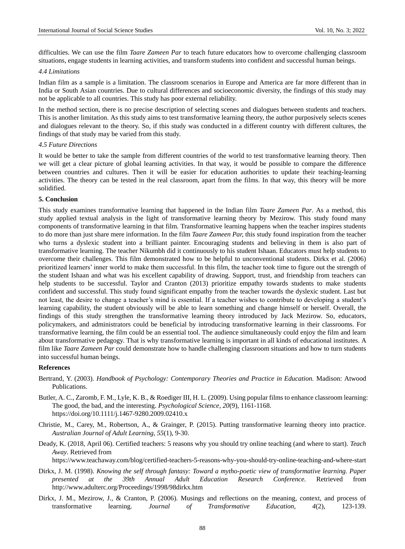difficulties. We can use the film *Taare Zameen Par* to teach future educators how to overcome challenging classroom situations, engage students in learning activities, and transform students into confident and successful human beings.

#### *4.4 Limitations*

Indian film as a sample is a limitation. The classroom scenarios in Europe and America are far more different than in India or South Asian countries. Due to cultural differences and socioeconomic diversity, the findings of this study may not be applicable to all countries. This study has poor external reliability.

In the method section, there is no precise description of selecting scenes and dialogues between students and teachers. This is another limitation. As this study aims to test transformative learning theory, the author purposively selects scenes and dialogues relevant to the theory. So, if this study was conducted in a different country with different cultures, the findings of that study may be varied from this study.

#### *4.5 Future Directions*

It would be better to take the sample from different countries of the world to test transformative learning theory. Then we will get a clear picture of global learning activities. In that way, it would be possible to compare the difference between countries and cultures. Then it will be easier for education authorities to update their teaching-learning activities. The theory can be tested in the real classroom, apart from the films. In that way, this theory will be more solidified.

#### **5. Conclusion**

This study examines transformative learning that happened in the Indian film *Taare Zameen Par*. As a method, this study applied textual analysis in the light of transformative learning theory by Mezirow. This study found many components of transformative learning in that film. Transformative learning happens when the teacher inspires students to do more than just share mere information. In the film *Taare Zameen Par,* this study found inspiration from the teacher who turns a dyslexic student into a brilliant painter. Encouraging students and believing in them is also part of transformative learning. The teacher Nikumbh did it continuously to his student Ishaan. Educators must help students to overcome their challenges. This film demonstrated how to be helpful to unconventional students. Dirkx et al. (2006) prioritized learners' inner world to make them successful. In this film, the teacher took time to figure out the strength of the student Ishaan and what was his excellent capability of drawing. Support, trust, and friendship from teachers can help students to be successful. Taylor and Cranton (2013) prioritize empathy towards students to make students confident and successful. This study found significant empathy from the teacher towards the dyslexic student. Last but not least, the desire to change a teacher's mind is essential. If a teacher wishes to contribute to developing a student's learning capability, the student obviously will be able to learn something and change himself or herself. Overall, the findings of this study strengthen the transformative learning theory introduced by Jack Mezirow. So, educators, policymakers, and administrators could be beneficial by introducing transformative learning in their classrooms. For transformative learning, the film could be an essential tool. The audience simultaneously could enjoy the film and learn about transformative pedagogy. That is why transformative learning is important in all kinds of educational institutes. A film like *Taare Zameen Par* could demonstrate how to handle challenging classroom situations and how to turn students into successful human beings.

#### **References**

- Bertrand, Y. (2003). *Handbook of Psychology: Contemporary Theories and Practice in Education.* Madison: Atwood Publications.
- Butler, A. C., Zaromb, F. M., Lyle, K. B., & Roediger III, H. L. (2009). Using popular films to enhance classroom learning: The good, the bad, and the interesting. *Psychological Science*, *20*(9), 1161-1168. https://doi.org/10.1111/j.1467-9280.2009.02410.x
- Christie, M., Carey, M., Robertson, A., & Grainger, P. (2015). Putting transformative learning theory into practice. *Australian Journal of Adult Learning, 55*(1), 9-30.
- Deady, K. (2018, April 06). Certified teachers: 5 reasons why you should try online teaching (and where to start). *Teach Away*. Retrieved from

https://www.teachaway.com/blog/certified-teachers-5-reasons-why-you-should-try-online-teaching-and-where-start

- Dirkx, J. M. (1998). *Knowing the self through fantasy: Toward a mytho-poetic view of transformative learning. Paper presented at the 39th Annual Adult Education Research Conference.* Retrieved from http://www.adulterc.org/Proceedings/1998/98dirkx.htm
- Dirkx, J. M., Mezirow, J., & Cranton, P. (2006). Musings and reflections on the meaning, context, and process of transformative learning. *Journal of Transformative Education, 4*(2), 123-139.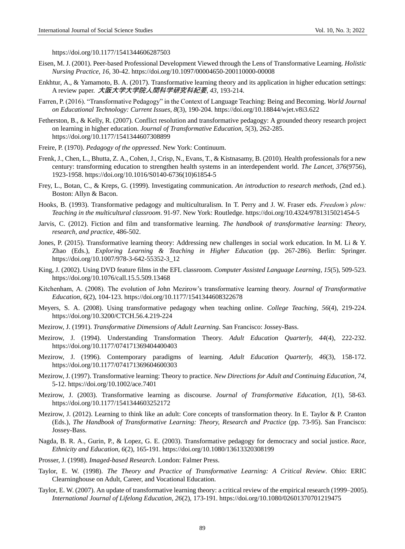https://doi.org/10.1177/1541344606287503

- Eisen, M. J. (2001). Peer-based Professional Development Viewed through the Lens of Transformative Learning. *Holistic Nursing Practice, 16,* 30-42. https://doi.org/10.1097/00004650-200110000-00008
- Enkhtur, A., & Yamamoto, B. A. (2017). Transformative learning theory and its application in higher education settings: A review paper. 大阪大学大学院人間科学研究科紀要, *43*, 193-214.
- Farren, P. (2016). "Transformative Pedagogy" in the Context of Language Teaching: Being and Becoming. *World Journal on Educational Technology: Current Issues*, *8*(3), 190-204. https://doi.org/10.18844/wjet.v8i3.622
- Fetherston, B., & Kelly, R. (2007). Conflict resolution and transformative pedagogy: A grounded theory research project on learning in higher education. *Journal of Transformative Education*, *5*(3), 262-285. https://doi.org/10.1177/1541344607308899
- Freire, P. (1970). *Pedagogy of the oppressed*. New York: Continuum.
- Frenk, J., Chen, L., Bhutta, Z. A., Cohen, J., Crisp, N., Evans, T., & Kistnasamy, B. (2010). Health professionals for a new century: transforming education to strengthen health systems in an interdependent world. *The Lancet, 376*(9756), 1923-1958. https://doi.org/10.1016/S0140-6736(10)61854-5
- Frey, L., Botan, C., & Kreps, G. (1999). Investigating communication. *An introduction to research methods*, (2nd ed.). Boston: Allyn & Bacon.
- Hooks, B. (1993). Transformative pedagogy and multiculturalism. In T. Perry and J. W. Fraser eds. *Freedom's plow: Teaching in the multicultural classroom*. 91-97. New York: Routledge. https://doi.org/10.4324/9781315021454-5
- Jarvis, C. (2012). Fiction and film and transformative learning. *The handbook of transformative learning: Theory, research, and practice*, 486-502.
- Jones, P. (2015). Transformative learning theory: Addressing new challenges in social work education. In M. Li & Y. Zhao (Eds.), *Exploring Learning & Teaching in Higher Education* (pp. 267-286). Berlin: Springer. https://doi.org/10.1007/978-3-642-55352-3\_12
- King, J. (2002). Using DVD feature films in the EFL classroom. *Computer Assisted Language Learning*, *15*(5), 509-523. https://doi.org/10.1076/call.15.5.509.13468
- Kitchenham, A. (2008). The evolution of John Mezirow's transformative learning theory. *Journal of Transformative Education*, *6*(2), 104-123. https://doi.org/10.1177/1541344608322678
- Meyers, S. A. (2008). Using transformative pedagogy when teaching online. *College Teaching*, *56*(4), 219-224. https://doi.org/10.3200/CTCH.56.4.219-224
- Mezirow, J. (1991). *Transformative Dimensions of Adult Learning*. San Francisco: Jossey-Bass.
- Mezirow, J. (1994). Understanding Transformation Theory. *Adult Education Quarterly, 44*(4), 222-232. https://doi.org/10.1177/074171369404400403
- Mezirow, J. (1996). Contemporary paradigms of learning. *Adult Education Quarterly, 46*(3), 158-172. https://doi.org/10.1177/074171369604600303
- Mezirow, J. (1997). Transformative learning: Theory to practice. *New Directions for Adult and Continuing Education*, *74,* 5-12. https://doi.org/10.1002/ace.7401
- Mezirow, J. (2003). Transformative learning as discourse. *Journal of Transformative Education, 1*(1), 58-63. https://doi.org/10.1177/1541344603252172
- Mezirow, J. (2012). Learning to think like an adult: Core concepts of transformation theory. In E. Taylor & P. Cranton (Eds.), *The Handbook of Transformative Learning: Theory, Research and Practice* (pp. 73-95). San Francisco: Jossey-Bass.
- Nagda, B. R. A., Gurin, P., & Lopez, G. E. (2003). Transformative pedagogy for democracy and social justice. *Race, Ethnicity and Education*, *6*(2), 165-191. https://doi.org/10.1080/13613320308199
- Prosser, J. (1998). *Imaged-based Research*. London: Falmer Press.
- Taylor, E. W. (1998). *The Theory and Practice of Transformative Learning: A Critical Review*. Ohio: ERIC Clearninghouse on Adult, Career, and Vocational Education.
- Taylor, E. W. (2007). An update of transformative learning theory: a critical review of the empirical research (1999–2005). *International Journal of Lifelong Education, 26*(2), 173-191. https://doi.org/10.1080/02601370701219475